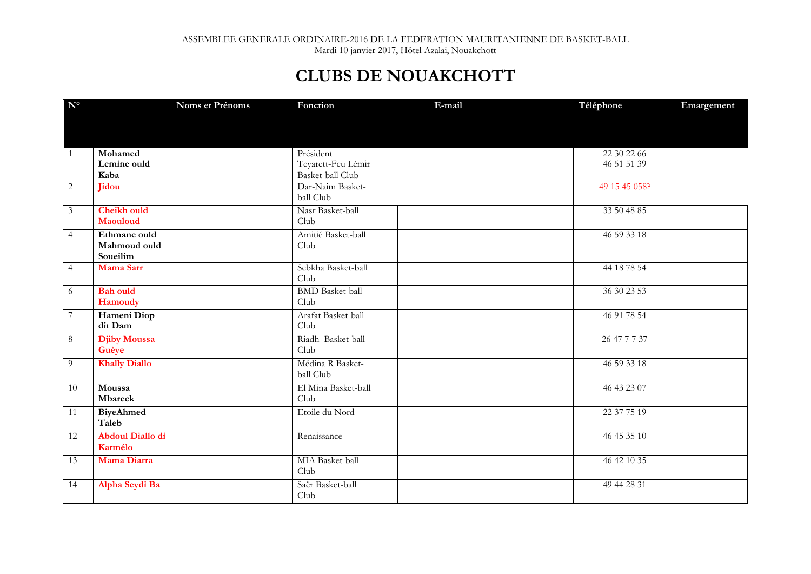## **CLUBS DE NOUAKCHOTT**

| $\mathbf{N}^{\text{o}}$ | Noms et Prénoms         | Fonction                               | E-mail | Téléphone     | Emargement |
|-------------------------|-------------------------|----------------------------------------|--------|---------------|------------|
|                         |                         |                                        |        |               |            |
|                         |                         |                                        |        |               |            |
|                         |                         |                                        |        |               |            |
| 1                       | Mohamed                 | Président                              |        | 22 30 22 66   |            |
|                         | Lemine ould<br>Kaba     | Teyarett-Feu Lémir<br>Basket-ball Club |        | 46 51 51 39   |            |
| $\overline{2}$          | Jidou                   | Dar-Naim Basket-                       |        | 49 15 45 058? |            |
|                         |                         | ball Club                              |        |               |            |
| $\mathfrak{Z}$          | <b>Cheikh ould</b>      | Nasr Basket-ball                       |        | 33 50 48 85   |            |
|                         | Maouloud                | Club                                   |        |               |            |
| $\overline{4}$          | Ethmane ould            | Amitié Basket-ball                     |        | 46 59 33 18   |            |
|                         | Mahmoud ould            | Club                                   |        |               |            |
|                         | Soueilim                |                                        |        |               |            |
| $\overline{4}$          | <b>Mama Sarr</b>        | Sebkha Basket-ball                     |        | 44 18 78 54   |            |
|                         |                         | Club                                   |        |               |            |
| 6                       | <b>Bah</b> ould         | <b>BMD</b> Basket-ball                 |        | 36 30 23 53   |            |
|                         | Hamoudy                 | Club                                   |        |               |            |
| 7                       | Hameni Diop             | Arafat Basket-ball                     |        | 46 91 78 54   |            |
|                         | dit Dam                 | Club                                   |        |               |            |
| 8                       | <b>Djiby Moussa</b>     | Riadh Basket-ball                      |        | 26 47 7 7 37  |            |
|                         | Guèye                   | Club                                   |        |               |            |
| 9                       | <b>Khally Diallo</b>    | Médina R Basket-                       |        | 46 59 33 18   |            |
|                         |                         | ball Club                              |        |               |            |
| $\overline{10}$         | Moussa                  | El Mina Basket-ball                    |        | 46 43 23 07   |            |
|                         | Mbareck                 | Club                                   |        |               |            |
| 11                      | <b>BiyeAhmed</b>        | Etoile du Nord                         |        | 22 37 75 19   |            |
|                         | Taleb                   |                                        |        |               |            |
| 12                      | <b>Abdoul Diallo di</b> | Renaissance                            |        | 46 45 35 10   |            |
|                         | Karmélo                 |                                        |        |               |            |
| 13                      | Mama Diarra             | MIA Basket-ball                        |        | 46 42 10 35   |            |
|                         |                         | Club                                   |        |               |            |
| 14                      | Alpha Seydi Ba          | Saër Basket-ball                       |        | 49 44 28 31   |            |
|                         |                         | Club                                   |        |               |            |